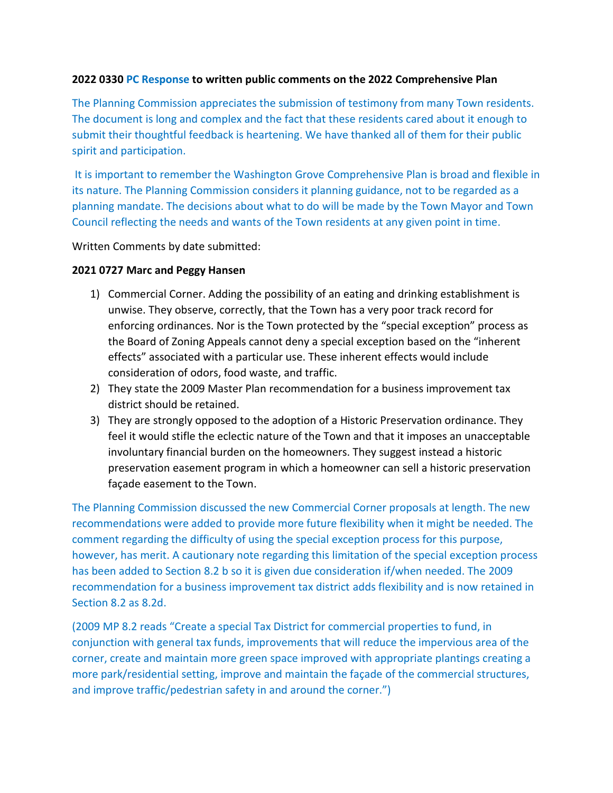#### **2022 0330 PC Response to written public comments on the 2022 Comprehensive Plan**

The Planning Commission appreciates the submission of testimony from many Town residents. The document is long and complex and the fact that these residents cared about it enough to submit their thoughtful feedback is heartening. We have thanked all of them for their public spirit and participation.

It is important to remember the Washington Grove Comprehensive Plan is broad and flexible in its nature. The Planning Commission considers it planning guidance, not to be regarded as a planning mandate. The decisions about what to do will be made by the Town Mayor and Town Council reflecting the needs and wants of the Town residents at any given point in time.

Written Comments by date submitted:

#### **2021 0727 Marc and Peggy Hansen**

- 1) Commercial Corner. Adding the possibility of an eating and drinking establishment is unwise. They observe, correctly, that the Town has a very poor track record for enforcing ordinances. Nor is the Town protected by the "special exception" process as the Board of Zoning Appeals cannot deny a special exception based on the "inherent effects" associated with a particular use. These inherent effects would include consideration of odors, food waste, and traffic.
- 2) They state the 2009 Master Plan recommendation for a business improvement tax district should be retained.
- 3) They are strongly opposed to the adoption of a Historic Preservation ordinance. They feel it would stifle the eclectic nature of the Town and that it imposes an unacceptable involuntary financial burden on the homeowners. They suggest instead a historic preservation easement program in which a homeowner can sell a historic preservation façade easement to the Town.

The Planning Commission discussed the new Commercial Corner proposals at length. The new recommendations were added to provide more future flexibility when it might be needed. The comment regarding the difficulty of using the special exception process for this purpose, however, has merit. A cautionary note regarding this limitation of the special exception process has been added to Section 8.2 b so it is given due consideration if/when needed. The 2009 recommendation for a business improvement tax district adds flexibility and is now retained in Section 8.2 as 8.2d.

(2009 MP 8.2 reads "Create a special Tax District for commercial properties to fund, in conjunction with general tax funds, improvements that will reduce the impervious area of the corner, create and maintain more green space improved with appropriate plantings creating a more park/residential setting, improve and maintain the façade of the commercial structures, and improve traffic/pedestrian safety in and around the corner.")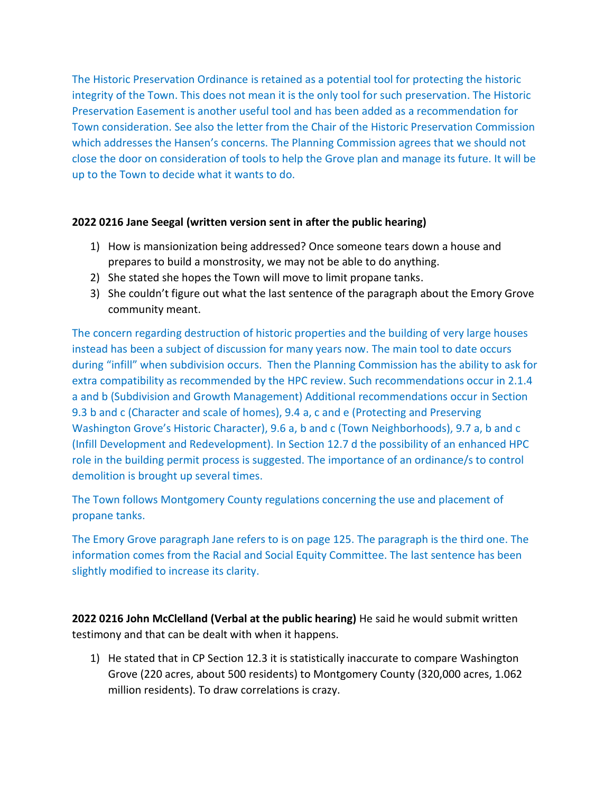The Historic Preservation Ordinance is retained as a potential tool for protecting the historic integrity of the Town. This does not mean it is the only tool for such preservation. The Historic Preservation Easement is another useful tool and has been added as a recommendation for Town consideration. See also the letter from the Chair of the Historic Preservation Commission which addresses the Hansen's concerns. The Planning Commission agrees that we should not close the door on consideration of tools to help the Grove plan and manage its future. It will be up to the Town to decide what it wants to do.

## **2022 0216 Jane Seegal (written version sent in after the public hearing)**

- 1) How is mansionization being addressed? Once someone tears down a house and prepares to build a monstrosity, we may not be able to do anything.
- 2) She stated she hopes the Town will move to limit propane tanks.
- 3) She couldn't figure out what the last sentence of the paragraph about the Emory Grove community meant.

The concern regarding destruction of historic properties and the building of very large houses instead has been a subject of discussion for many years now. The main tool to date occurs during "infill" when subdivision occurs. Then the Planning Commission has the ability to ask for extra compatibility as recommended by the HPC review. Such recommendations occur in 2.1.4 a and b (Subdivision and Growth Management) Additional recommendations occur in Section 9.3 b and c (Character and scale of homes), 9.4 a, c and e (Protecting and Preserving Washington Grove's Historic Character), 9.6 a, b and c (Town Neighborhoods), 9.7 a, b and c (Infill Development and Redevelopment). In Section 12.7 d the possibility of an enhanced HPC role in the building permit process is suggested. The importance of an ordinance/s to control demolition is brought up several times.

The Town follows Montgomery County regulations concerning the use and placement of propane tanks.

The Emory Grove paragraph Jane refers to is on page 125. The paragraph is the third one. The information comes from the Racial and Social Equity Committee. The last sentence has been slightly modified to increase its clarity.

**2022 0216 John McClelland (Verbal at the public hearing)** He said he would submit written testimony and that can be dealt with when it happens.

1) He stated that in CP Section 12.3 it is statistically inaccurate to compare Washington Grove (220 acres, about 500 residents) to Montgomery County (320,000 acres, 1.062 million residents). To draw correlations is crazy.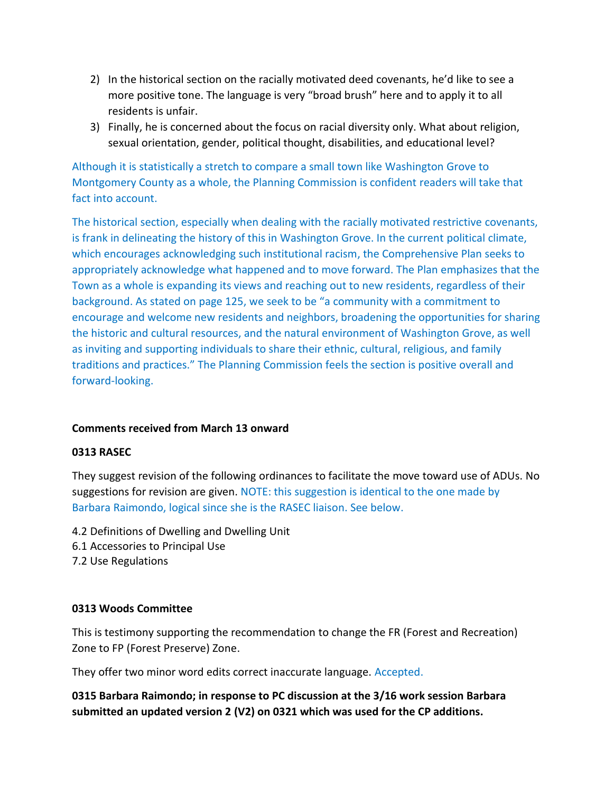- 2) In the historical section on the racially motivated deed covenants, he'd like to see a more positive tone. The language is very "broad brush" here and to apply it to all residents is unfair.
- 3) Finally, he is concerned about the focus on racial diversity only. What about religion, sexual orientation, gender, political thought, disabilities, and educational level?

Although it is statistically a stretch to compare a small town like Washington Grove to Montgomery County as a whole, the Planning Commission is confident readers will take that fact into account.

The historical section, especially when dealing with the racially motivated restrictive covenants, is frank in delineating the history of this in Washington Grove. In the current political climate, which encourages acknowledging such institutional racism, the Comprehensive Plan seeks to appropriately acknowledge what happened and to move forward. The Plan emphasizes that the Town as a whole is expanding its views and reaching out to new residents, regardless of their background. As stated on page 125, we seek to be "a community with a commitment to encourage and welcome new residents and neighbors, broadening the opportunities for sharing the historic and cultural resources, and the natural environment of Washington Grove, as well as inviting and supporting individuals to share their ethnic, cultural, religious, and family traditions and practices." The Planning Commission feels the section is positive overall and forward-looking.

# **Comments received from March 13 onward**

#### **0313 RASEC**

They suggest revision of the following ordinances to facilitate the move toward use of ADUs. No suggestions for revision are given. NOTE: this suggestion is identical to the one made by Barbara Raimondo, logical since she is the RASEC liaison. See below.

- 4.2 Definitions of Dwelling and Dwelling Unit
- 6.1 Accessories to Principal Use
- 7.2 Use Regulations

#### **0313 Woods Committee**

This is testimony supporting the recommendation to change the FR (Forest and Recreation) Zone to FP (Forest Preserve) Zone.

They offer two minor word edits correct inaccurate language. Accepted.

# **0315 Barbara Raimondo; in response to PC discussion at the 3/16 work session Barbara submitted an updated version 2 (V2) on 0321 which was used for the CP additions.**